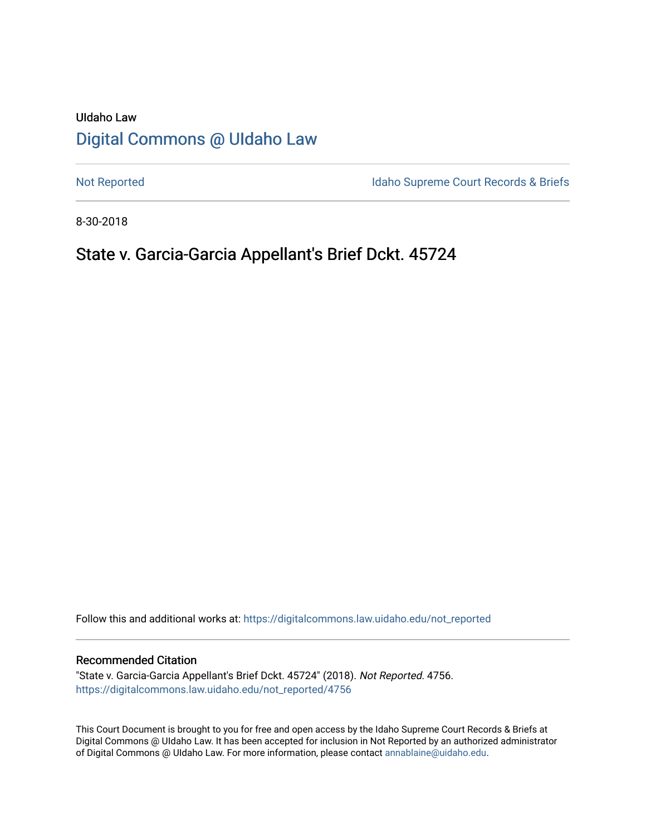# UIdaho Law [Digital Commons @ UIdaho Law](https://digitalcommons.law.uidaho.edu/)

[Not Reported](https://digitalcommons.law.uidaho.edu/not_reported) **Idaho Supreme Court Records & Briefs** 

8-30-2018

## State v. Garcia-Garcia Appellant's Brief Dckt. 45724

Follow this and additional works at: [https://digitalcommons.law.uidaho.edu/not\\_reported](https://digitalcommons.law.uidaho.edu/not_reported?utm_source=digitalcommons.law.uidaho.edu%2Fnot_reported%2F4756&utm_medium=PDF&utm_campaign=PDFCoverPages) 

#### Recommended Citation

"State v. Garcia-Garcia Appellant's Brief Dckt. 45724" (2018). Not Reported. 4756. [https://digitalcommons.law.uidaho.edu/not\\_reported/4756](https://digitalcommons.law.uidaho.edu/not_reported/4756?utm_source=digitalcommons.law.uidaho.edu%2Fnot_reported%2F4756&utm_medium=PDF&utm_campaign=PDFCoverPages)

This Court Document is brought to you for free and open access by the Idaho Supreme Court Records & Briefs at Digital Commons @ UIdaho Law. It has been accepted for inclusion in Not Reported by an authorized administrator of Digital Commons @ UIdaho Law. For more information, please contact [annablaine@uidaho.edu](mailto:annablaine@uidaho.edu).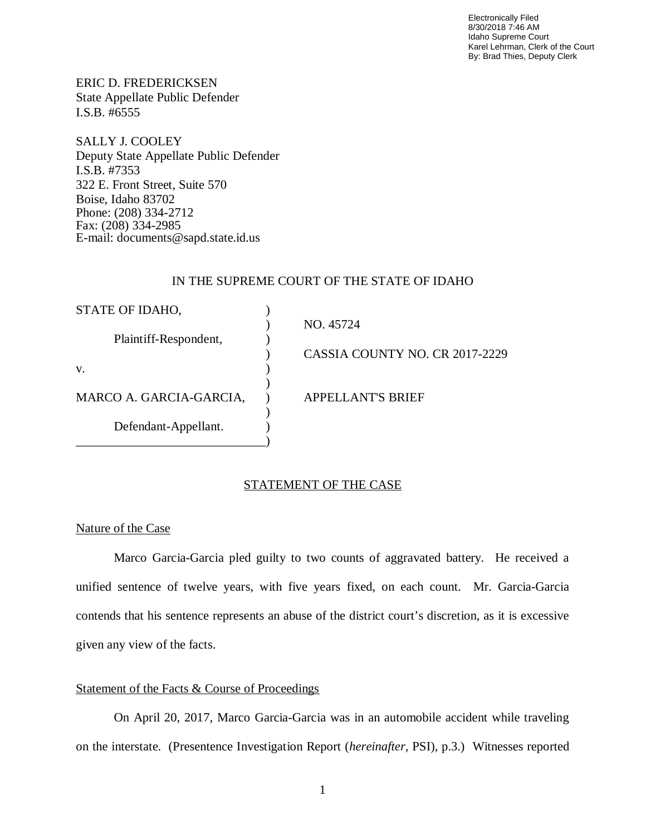Electronically Filed 8/30/2018 7:46 AM Idaho Supreme Court Karel Lehrman, Clerk of the Court By: Brad Thies, Deputy Clerk

ERIC D. FREDERICKSEN State Appellate Public Defender I.S.B. #6555

SALLY J. COOLEY Deputy State Appellate Public Defender I.S.B. #7353 322 E. Front Street, Suite 570 Boise, Idaho 83702 Phone: (208) 334-2712 Fax: (208) 334-2985 E-mail: documents@sapd.state.id.us

## IN THE SUPREME COURT OF THE STATE OF IDAHO

| STATE OF IDAHO,         |                                |
|-------------------------|--------------------------------|
|                         | NO. 45724                      |
| Plaintiff-Respondent,   |                                |
|                         | CASSIA COUNTY NO. CR 2017-2229 |
| V.                      |                                |
|                         |                                |
| MARCO A. GARCIA-GARCIA, | <b>APPELLANT'S BRIEF</b>       |
|                         |                                |
| Defendant-Appellant.    |                                |
|                         |                                |

## STATEMENT OF THE CASE

## Nature of the Case

Marco Garcia-Garcia pled guilty to two counts of aggravated battery. He received a unified sentence of twelve years, with five years fixed, on each count. Mr. Garcia-Garcia contends that his sentence represents an abuse of the district court's discretion, as it is excessive given any view of the facts.

#### Statement of the Facts & Course of Proceedings

On April 20, 2017, Marco Garcia-Garcia was in an automobile accident while traveling on the interstate. (Presentence Investigation Report (*hereinafter,* PSI), p.3.) Witnesses reported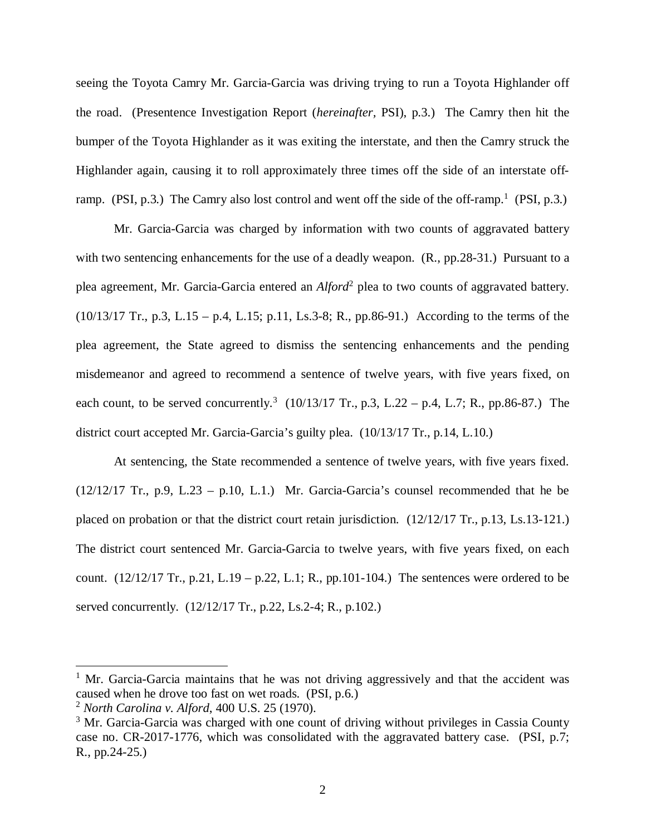seeing the Toyota Camry Mr. Garcia-Garcia was driving trying to run a Toyota Highlander off the road. (Presentence Investigation Report (*hereinafter,* PSI), p.3.) The Camry then hit the bumper of the Toyota Highlander as it was exiting the interstate, and then the Camry struck the Highlander again, causing it to roll approximately three times off the side of an interstate off-ramp. (PSI, p.3.) The Camry also lost control and went off the side of the off-ramp.<sup>[1](#page-2-0)</sup> (PSI, p.3.)

Mr. Garcia-Garcia was charged by information with two counts of aggravated battery with two sentencing enhancements for the use of a deadly weapon. (R., pp.28-31.) Pursuant to a plea agreement, Mr. Garcia-Garcia entered an *Alford*[2](#page-2-1) plea to two counts of aggravated battery. (10/13/17 Tr., p.3, L.15 – p.4, L.15; p.11, Ls.3-8; R., pp.86-91.) According to the terms of the plea agreement, the State agreed to dismiss the sentencing enhancements and the pending misdemeanor and agreed to recommend a sentence of twelve years, with five years fixed, on each count, to be served concurrently.<sup>[3](#page-2-2)</sup>  $(10/13/17 \text{ Tr}., p.3, L.22 - p.4, L.7; R., pp.86-87.)$  The district court accepted Mr. Garcia-Garcia's guilty plea. (10/13/17 Tr., p.14, L.10.)

At sentencing, the State recommended a sentence of twelve years, with five years fixed.  $(12/12/17$  Tr., p.9, L.23 – p.10, L.1.) Mr. Garcia-Garcia's counsel recommended that he be placed on probation or that the district court retain jurisdiction. (12/12/17 Tr., p.13, Ls.13-121.) The district court sentenced Mr. Garcia-Garcia to twelve years, with five years fixed, on each count.  $(12/12/17 \text{ Tr.}, p.21, L.19 - p.22, L.1; R., pp.101-104.)$  The sentences were ordered to be served concurrently. (12/12/17 Tr., p.22, Ls.2-4; R., p.102.)

<span id="page-2-0"></span><sup>&</sup>lt;sup>1</sup> Mr. Garcia-Garcia maintains that he was not driving aggressively and that the accident was caused when he drove too fast on wet roads. (PSI, p.6.)

<span id="page-2-1"></span><sup>2</sup> *North Carolina v. Alford*, 400 U.S. 25 (1970).

<span id="page-2-2"></span><sup>&</sup>lt;sup>3</sup> Mr. Garcia-Garcia was charged with one count of driving without privileges in Cassia County case no. CR-2017-1776, which was consolidated with the aggravated battery case. (PSI, p.7; R., pp.24-25.)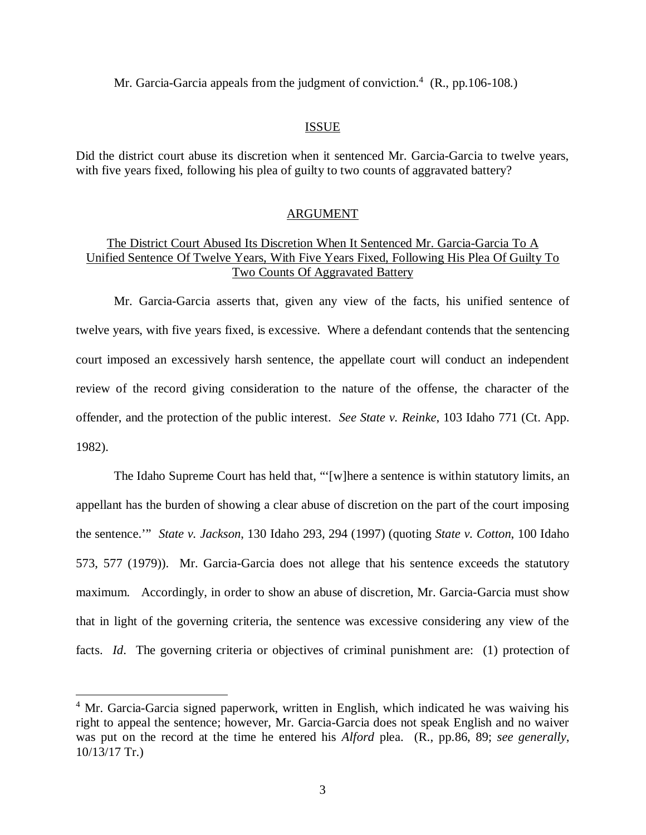Mr. Garcia-Garcia appeals from the judgment of conviction.<sup>[4](#page-3-0)</sup> (R., pp.106-108.)

#### ISSUE

Did the district court abuse its discretion when it sentenced Mr. Garcia-Garcia to twelve years, with five years fixed, following his plea of guilty to two counts of aggravated battery?

#### ARGUMENT

## The District Court Abused Its Discretion When It Sentenced Mr. Garcia-Garcia To A Unified Sentence Of Twelve Years, With Five Years Fixed, Following His Plea Of Guilty To Two Counts Of Aggravated Battery

Mr. Garcia-Garcia asserts that, given any view of the facts, his unified sentence of twelve years, with five years fixed, is excessive. Where a defendant contends that the sentencing court imposed an excessively harsh sentence, the appellate court will conduct an independent review of the record giving consideration to the nature of the offense, the character of the offender, and the protection of the public interest. *See State v. Reinke*, 103 Idaho 771 (Ct. App. 1982).

The Idaho Supreme Court has held that, "'[w]here a sentence is within statutory limits, an appellant has the burden of showing a clear abuse of discretion on the part of the court imposing the sentence.'" *State v. Jackson*, 130 Idaho 293, 294 (1997) (quoting *State v. Cotton*, 100 Idaho 573, 577 (1979)). Mr. Garcia-Garcia does not allege that his sentence exceeds the statutory maximum. Accordingly, in order to show an abuse of discretion, Mr. Garcia-Garcia must show that in light of the governing criteria, the sentence was excessive considering any view of the facts. *Id*. The governing criteria or objectives of criminal punishment are: (1) protection of

<span id="page-3-0"></span><sup>&</sup>lt;sup>4</sup> Mr. Garcia-Garcia signed paperwork, written in English, which indicated he was waiving his right to appeal the sentence; however, Mr. Garcia-Garcia does not speak English and no waiver was put on the record at the time he entered his *Alford* plea. (R., pp.86, 89; *see generally*, 10/13/17 Tr.)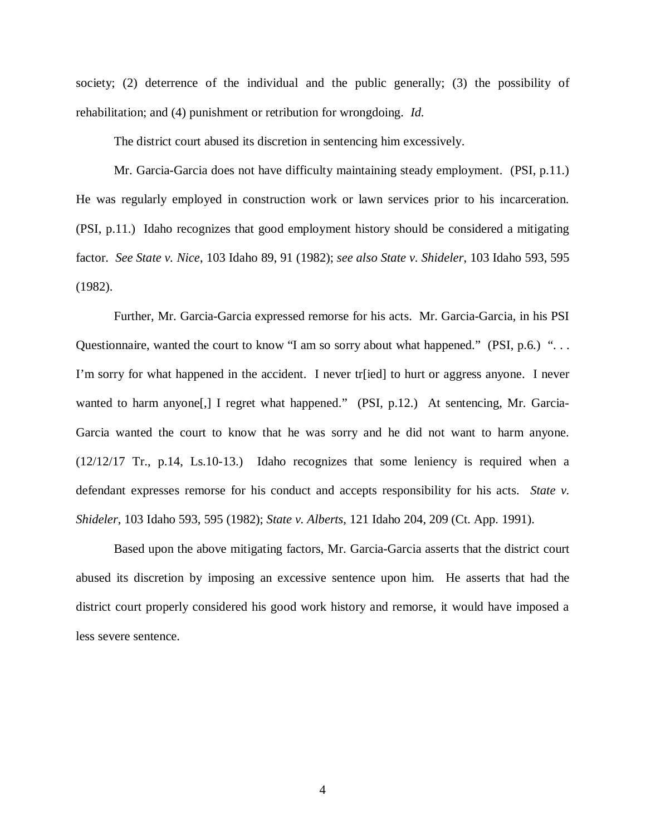society; (2) deterrence of the individual and the public generally; (3) the possibility of rehabilitation; and (4) punishment or retribution for wrongdoing. *Id*.

The district court abused its discretion in sentencing him excessively.

Mr. Garcia-Garcia does not have difficulty maintaining steady employment. (PSI, p.11.) He was regularly employed in construction work or lawn services prior to his incarceration. (PSI, p.11.) Idaho recognizes that good employment history should be considered a mitigating factor. *See State v. Nice*, 103 Idaho 89, 91 (1982); *see also State v. Shideler*, 103 Idaho 593, 595 (1982).

Further, Mr. Garcia-Garcia expressed remorse for his acts. Mr. Garcia-Garcia, in his PSI Questionnaire, wanted the court to know "I am so sorry about what happened." (PSI, p.6.) "... I'm sorry for what happened in the accident. I never tr[ied] to hurt or aggress anyone. I never wanted to harm anyone[,] I regret what happened." (PSI, p.12.) At sentencing, Mr. Garcia-Garcia wanted the court to know that he was sorry and he did not want to harm anyone. (12/12/17 Tr., p.14, Ls.10-13.) Idaho recognizes that some leniency is required when a defendant expresses remorse for his conduct and accepts responsibility for his acts. *State v. Shideler*, 103 Idaho 593, 595 (1982); *State v. Alberts*, 121 Idaho 204, 209 (Ct. App. 1991).

Based upon the above mitigating factors, Mr. Garcia-Garcia asserts that the district court abused its discretion by imposing an excessive sentence upon him. He asserts that had the district court properly considered his good work history and remorse, it would have imposed a less severe sentence.